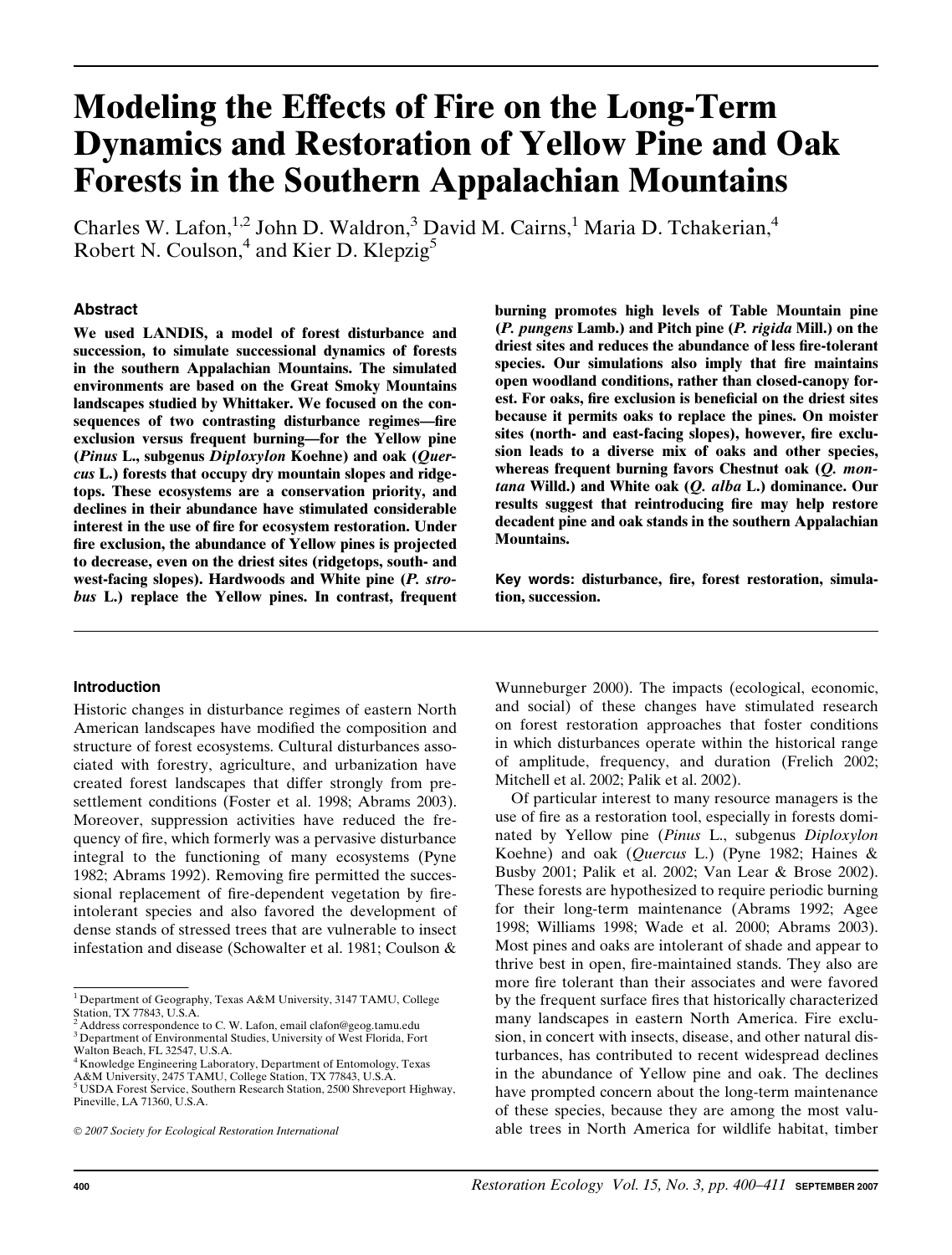# Modeling the Effects of Fire on the Long-Term Dynamics and Restoration of Yellow Pine and Oak Forests in the Southern Appalachian Mountains

Charles W. Lafon,<sup>1,2</sup> John D. Waldron,<sup>3</sup> David M. Cairns,<sup>1</sup> Maria D. Tchakerian,<sup>4</sup> Robert N. Coulson, $4$  and Kier D. Klepzig<sup>5</sup>

#### Abstract

We used LANDIS, a model of forest disturbance and succession, to simulate successional dynamics of forests in the southern Appalachian Mountains. The simulated environments are based on the Great Smoky Mountains landscapes studied by Whittaker. We focused on the consequences of two contrasting disturbance regimes—fire exclusion versus frequent burning—for the Yellow pine (Pinus L., subgenus Diploxylon Koehne) and oak (Quercus L.) forests that occupy dry mountain slopes and ridgetops. These ecosystems are a conservation priority, and declines in their abundance have stimulated considerable interest in the use of fire for ecosystem restoration. Under fire exclusion, the abundance of Yellow pines is projected to decrease, even on the driest sites (ridgetops, south- and west-facing slopes). Hardwoods and White pine (P. strobus L.) replace the Yellow pines. In contrast, frequent

#### Introduction

Historic changes in disturbance regimes of eastern North American landscapes have modified the composition and structure of forest ecosystems. Cultural disturbances associated with forestry, agriculture, and urbanization have created forest landscapes that differ strongly from presettlement conditions (Foster et al. 1998; Abrams 2003). Moreover, suppression activities have reduced the frequency of fire, which formerly was a pervasive disturbance integral to the functioning of many ecosystems (Pyne 1982; Abrams 1992). Removing fire permitted the successional replacement of fire-dependent vegetation by fireintolerant species and also favored the development of dense stands of stressed trees that are vulnerable to insect infestation and disease (Schowalter et al. 1981; Coulson &

<sup>4</sup> Knowledge Engineering Laboratory, Department of Entomology, Texas A&M University, 2475 TAMU, College Station, TX 77843, U.S.A. <sup>5</sup> USDA Forest Service, Southern Research Station, 2500 Shreveport Highway, burning promotes high levels of Table Mountain pine (P. pungens Lamb.) and Pitch pine (P. rigida Mill.) on the driest sites and reduces the abundance of less fire-tolerant species. Our simulations also imply that fire maintains open woodland conditions, rather than closed-canopy forest. For oaks, fire exclusion is beneficial on the driest sites because it permits oaks to replace the pines. On moister sites (north- and east-facing slopes), however, fire exclusion leads to a diverse mix of oaks and other species, whereas frequent burning favors Chestnut oak (Q. mon*tana* Willd.) and White oak  $(Q, alba L.)$  dominance. Our results suggest that reintroducing fire may help restore decadent pine and oak stands in the southern Appalachian Mountains.

Key words: disturbance, fire, forest restoration, simulation, succession.

Wunneburger 2000). The impacts (ecological, economic, and social) of these changes have stimulated research on forest restoration approaches that foster conditions in which disturbances operate within the historical range of amplitude, frequency, and duration (Frelich 2002; Mitchell et al. 2002; Palik et al. 2002).

Of particular interest to many resource managers is the use of fire as a restoration tool, especially in forests dominated by Yellow pine (Pinus L., subgenus Diploxylon Koehne) and oak (Quercus L.) (Pyne 1982; Haines & Busby 2001; Palik et al. 2002; Van Lear & Brose 2002). These forests are hypothesized to require periodic burning for their long-term maintenance (Abrams 1992; Agee 1998; Williams 1998; Wade et al. 2000; Abrams 2003). Most pines and oaks are intolerant of shade and appear to thrive best in open, fire-maintained stands. They also are more fire tolerant than their associates and were favored by the frequent surface fires that historically characterized many landscapes in eastern North America. Fire exclusion, in concert with insects, disease, and other natural disturbances, has contributed to recent widespread declines in the abundance of Yellow pine and oak. The declines have prompted concern about the long-term maintenance of these species, because they are among the most valuable trees in North America for wildlife habitat, timber

<sup>&</sup>lt;sup>1</sup> Department of Geography, Texas A&M University, 3147 TAMU, College Station, TX 77843, U.S.A.

<sup>2</sup> Address correspondence to C. W. Lafon, email clafon@geog.tamu.edu <sup>3</sup> Department of Environmental Studies, University of West Florida, Fort Walton Beach, FL 32547, U.S.A.

Pineville, LA 71360, U.S.A.

2007 Society for Ecological Restoration International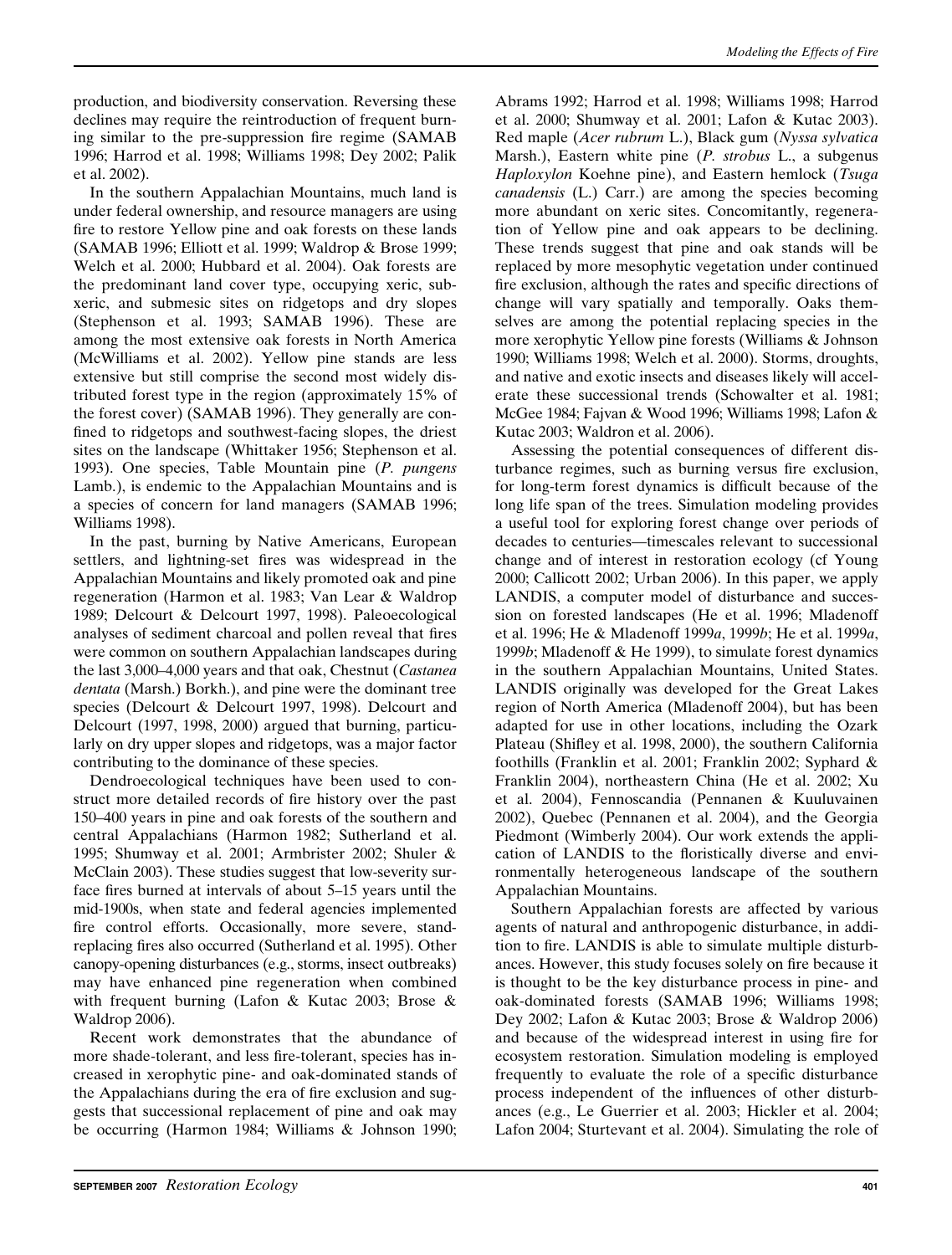production, and biodiversity conservation. Reversing these declines may require the reintroduction of frequent burning similar to the pre-suppression fire regime (SAMAB 1996; Harrod et al. 1998; Williams 1998; Dey 2002; Palik et al. 2002).

In the southern Appalachian Mountains, much land is under federal ownership, and resource managers are using fire to restore Yellow pine and oak forests on these lands (SAMAB 1996; Elliott et al. 1999; Waldrop & Brose 1999; Welch et al. 2000; Hubbard et al. 2004). Oak forests are the predominant land cover type, occupying xeric, subxeric, and submesic sites on ridgetops and dry slopes (Stephenson et al. 1993; SAMAB 1996). These are among the most extensive oak forests in North America (McWilliams et al. 2002). Yellow pine stands are less extensive but still comprise the second most widely distributed forest type in the region (approximately 15% of the forest cover) (SAMAB 1996). They generally are confined to ridgetops and southwest-facing slopes, the driest sites on the landscape (Whittaker 1956; Stephenson et al. 1993). One species, Table Mountain pine (P. pungens Lamb.), is endemic to the Appalachian Mountains and is a species of concern for land managers (SAMAB 1996; Williams 1998).

In the past, burning by Native Americans, European settlers, and lightning-set fires was widespread in the Appalachian Mountains and likely promoted oak and pine regeneration (Harmon et al. 1983; Van Lear & Waldrop 1989; Delcourt & Delcourt 1997, 1998). Paleoecological analyses of sediment charcoal and pollen reveal that fires were common on southern Appalachian landscapes during the last 3,000–4,000 years and that oak, Chestnut (Castanea dentata (Marsh.) Borkh.), and pine were the dominant tree species (Delcourt & Delcourt 1997, 1998). Delcourt and Delcourt (1997, 1998, 2000) argued that burning, particularly on dry upper slopes and ridgetops, was a major factor contributing to the dominance of these species.

Dendroecological techniques have been used to construct more detailed records of fire history over the past 150–400 years in pine and oak forests of the southern and central Appalachians (Harmon 1982; Sutherland et al. 1995; Shumway et al. 2001; Armbrister 2002; Shuler & McClain 2003). These studies suggest that low-severity surface fires burned at intervals of about 5–15 years until the mid-1900s, when state and federal agencies implemented fire control efforts. Occasionally, more severe, standreplacing fires also occurred (Sutherland et al. 1995). Other canopy-opening disturbances (e.g., storms, insect outbreaks) may have enhanced pine regeneration when combined with frequent burning (Lafon & Kutac 2003; Brose & Waldrop 2006).

Recent work demonstrates that the abundance of more shade-tolerant, and less fire-tolerant, species has increased in xerophytic pine- and oak-dominated stands of the Appalachians during the era of fire exclusion and suggests that successional replacement of pine and oak may be occurring (Harmon 1984; Williams & Johnson 1990;

Abrams 1992; Harrod et al. 1998; Williams 1998; Harrod et al. 2000; Shumway et al. 2001; Lafon & Kutac 2003). Red maple (Acer rubrum L.), Black gum (Nyssa sylvatica Marsh.), Eastern white pine (P. strobus L., a subgenus Haploxylon Koehne pine), and Eastern hemlock (Tsuga canadensis (L.) Carr.) are among the species becoming more abundant on xeric sites. Concomitantly, regeneration of Yellow pine and oak appears to be declining. These trends suggest that pine and oak stands will be replaced by more mesophytic vegetation under continued fire exclusion, although the rates and specific directions of change will vary spatially and temporally. Oaks themselves are among the potential replacing species in the more xerophytic Yellow pine forests (Williams & Johnson 1990; Williams 1998; Welch et al. 2000). Storms, droughts, and native and exotic insects and diseases likely will accelerate these successional trends (Schowalter et al. 1981; McGee 1984; Fajvan & Wood 1996; Williams 1998; Lafon & Kutac 2003; Waldron et al. 2006).

Assessing the potential consequences of different disturbance regimes, such as burning versus fire exclusion, for long-term forest dynamics is difficult because of the long life span of the trees. Simulation modeling provides a useful tool for exploring forest change over periods of decades to centuries—timescales relevant to successional change and of interest in restoration ecology (cf Young 2000; Callicott 2002; Urban 2006). In this paper, we apply LANDIS, a computer model of disturbance and succession on forested landscapes (He et al. 1996; Mladenoff et al. 1996; He & Mladenoff 1999a, 1999b; He et al. 1999a, 1999b; Mladenoff & He 1999), to simulate forest dynamics in the southern Appalachian Mountains, United States. LANDIS originally was developed for the Great Lakes region of North America (Mladenoff 2004), but has been adapted for use in other locations, including the Ozark Plateau (Shifley et al. 1998, 2000), the southern California foothills (Franklin et al. 2001; Franklin 2002; Syphard & Franklin 2004), northeastern China (He et al. 2002; Xu et al. 2004), Fennoscandia (Pennanen & Kuuluvainen 2002), Quebec (Pennanen et al. 2004), and the Georgia Piedmont (Wimberly 2004). Our work extends the application of LANDIS to the floristically diverse and environmentally heterogeneous landscape of the southern Appalachian Mountains.

Southern Appalachian forests are affected by various agents of natural and anthropogenic disturbance, in addition to fire. LANDIS is able to simulate multiple disturbances. However, this study focuses solely on fire because it is thought to be the key disturbance process in pine- and oak-dominated forests (SAMAB 1996; Williams 1998; Dey 2002; Lafon & Kutac 2003; Brose & Waldrop 2006) and because of the widespread interest in using fire for ecosystem restoration. Simulation modeling is employed frequently to evaluate the role of a specific disturbance process independent of the influences of other disturbances (e.g., Le Guerrier et al. 2003; Hickler et al. 2004; Lafon 2004; Sturtevant et al. 2004). Simulating the role of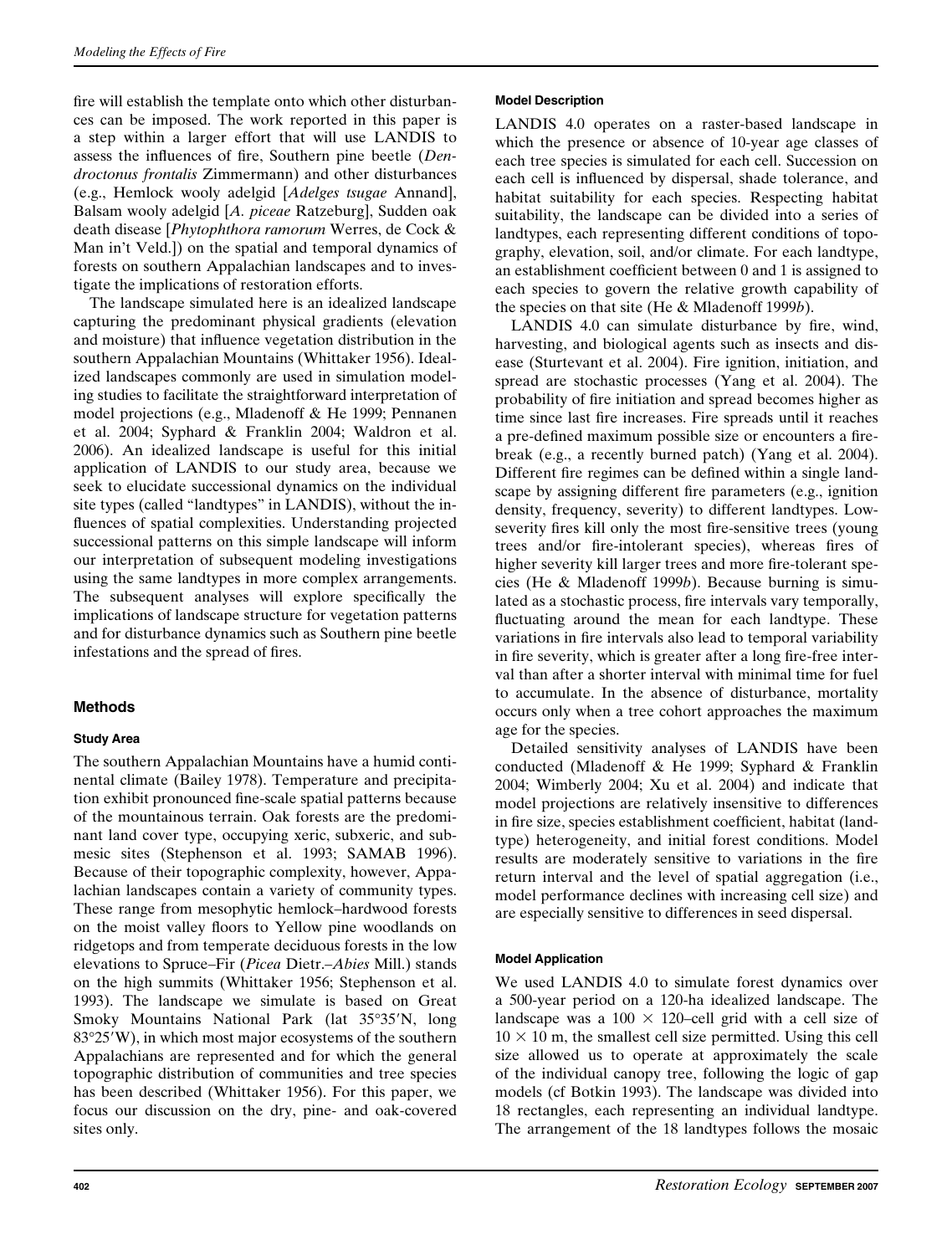fire will establish the template onto which other disturbances can be imposed. The work reported in this paper is a step within a larger effort that will use LANDIS to assess the influences of fire, Southern pine beetle (Dendroctonus frontalis Zimmermann) and other disturbances (e.g., Hemlock wooly adelgid [Adelges tsugae Annand], Balsam wooly adelgid [A. piceae Ratzeburg], Sudden oak death disease [Phytophthora ramorum Werres, de Cock & Man in't Veld.]) on the spatial and temporal dynamics of forests on southern Appalachian landscapes and to investigate the implications of restoration efforts.

The landscape simulated here is an idealized landscape capturing the predominant physical gradients (elevation and moisture) that influence vegetation distribution in the southern Appalachian Mountains (Whittaker 1956). Idealized landscapes commonly are used in simulation modeling studies to facilitate the straightforward interpretation of model projections (e.g., Mladenoff & He 1999; Pennanen et al. 2004; Syphard & Franklin 2004; Waldron et al. 2006). An idealized landscape is useful for this initial application of LANDIS to our study area, because we seek to elucidate successional dynamics on the individual site types (called "landtypes" in LANDIS), without the influences of spatial complexities. Understanding projected successional patterns on this simple landscape will inform our interpretation of subsequent modeling investigations using the same landtypes in more complex arrangements. The subsequent analyses will explore specifically the implications of landscape structure for vegetation patterns and for disturbance dynamics such as Southern pine beetle infestations and the spread of fires.

# Methods

## Study Area

The southern Appalachian Mountains have a humid continental climate (Bailey 1978). Temperature and precipitation exhibit pronounced fine-scale spatial patterns because of the mountainous terrain. Oak forests are the predominant land cover type, occupying xeric, subxeric, and submesic sites (Stephenson et al. 1993; SAMAB 1996). Because of their topographic complexity, however, Appalachian landscapes contain a variety of community types. These range from mesophytic hemlock–hardwood forests on the moist valley floors to Yellow pine woodlands on ridgetops and from temperate deciduous forests in the low elevations to Spruce–Fir (Picea Dietr.–Abies Mill.) stands on the high summits (Whittaker 1956; Stephenson et al. 1993). The landscape we simulate is based on Great Smoky Mountains National Park (lat 35°35'N, long 83°25′W), in which most major ecosystems of the southern Appalachians are represented and for which the general topographic distribution of communities and tree species has been described (Whittaker 1956). For this paper, we focus our discussion on the dry, pine- and oak-covered sites only.

# Model Description

LANDIS 4.0 operates on a raster-based landscape in which the presence or absence of 10-year age classes of each tree species is simulated for each cell. Succession on each cell is influenced by dispersal, shade tolerance, and habitat suitability for each species. Respecting habitat suitability, the landscape can be divided into a series of landtypes, each representing different conditions of topography, elevation, soil, and/or climate. For each landtype, an establishment coefficient between 0 and 1 is assigned to each species to govern the relative growth capability of the species on that site (He & Mladenoff 1999b).

LANDIS 4.0 can simulate disturbance by fire, wind, harvesting, and biological agents such as insects and disease (Sturtevant et al. 2004). Fire ignition, initiation, and spread are stochastic processes (Yang et al. 2004). The probability of fire initiation and spread becomes higher as time since last fire increases. Fire spreads until it reaches a pre-defined maximum possible size or encounters a firebreak (e.g., a recently burned patch) (Yang et al. 2004). Different fire regimes can be defined within a single landscape by assigning different fire parameters (e.g., ignition density, frequency, severity) to different landtypes. Lowseverity fires kill only the most fire-sensitive trees (young trees and/or fire-intolerant species), whereas fires of higher severity kill larger trees and more fire-tolerant species (He & Mladenoff 1999b). Because burning is simulated as a stochastic process, fire intervals vary temporally, fluctuating around the mean for each landtype. These variations in fire intervals also lead to temporal variability in fire severity, which is greater after a long fire-free interval than after a shorter interval with minimal time for fuel to accumulate. In the absence of disturbance, mortality occurs only when a tree cohort approaches the maximum age for the species.

Detailed sensitivity analyses of LANDIS have been conducted (Mladenoff & He 1999; Syphard & Franklin 2004; Wimberly 2004; Xu et al. 2004) and indicate that model projections are relatively insensitive to differences in fire size, species establishment coefficient, habitat (landtype) heterogeneity, and initial forest conditions. Model results are moderately sensitive to variations in the fire return interval and the level of spatial aggregation (i.e., model performance declines with increasing cell size) and are especially sensitive to differences in seed dispersal.

## Model Application

We used LANDIS 4.0 to simulate forest dynamics over a 500-year period on a 120-ha idealized landscape. The landscape was a 100  $\times$  120–cell grid with a cell size of  $10 \times 10$  m, the smallest cell size permitted. Using this cell size allowed us to operate at approximately the scale of the individual canopy tree, following the logic of gap models (cf Botkin 1993). The landscape was divided into 18 rectangles, each representing an individual landtype. The arrangement of the 18 landtypes follows the mosaic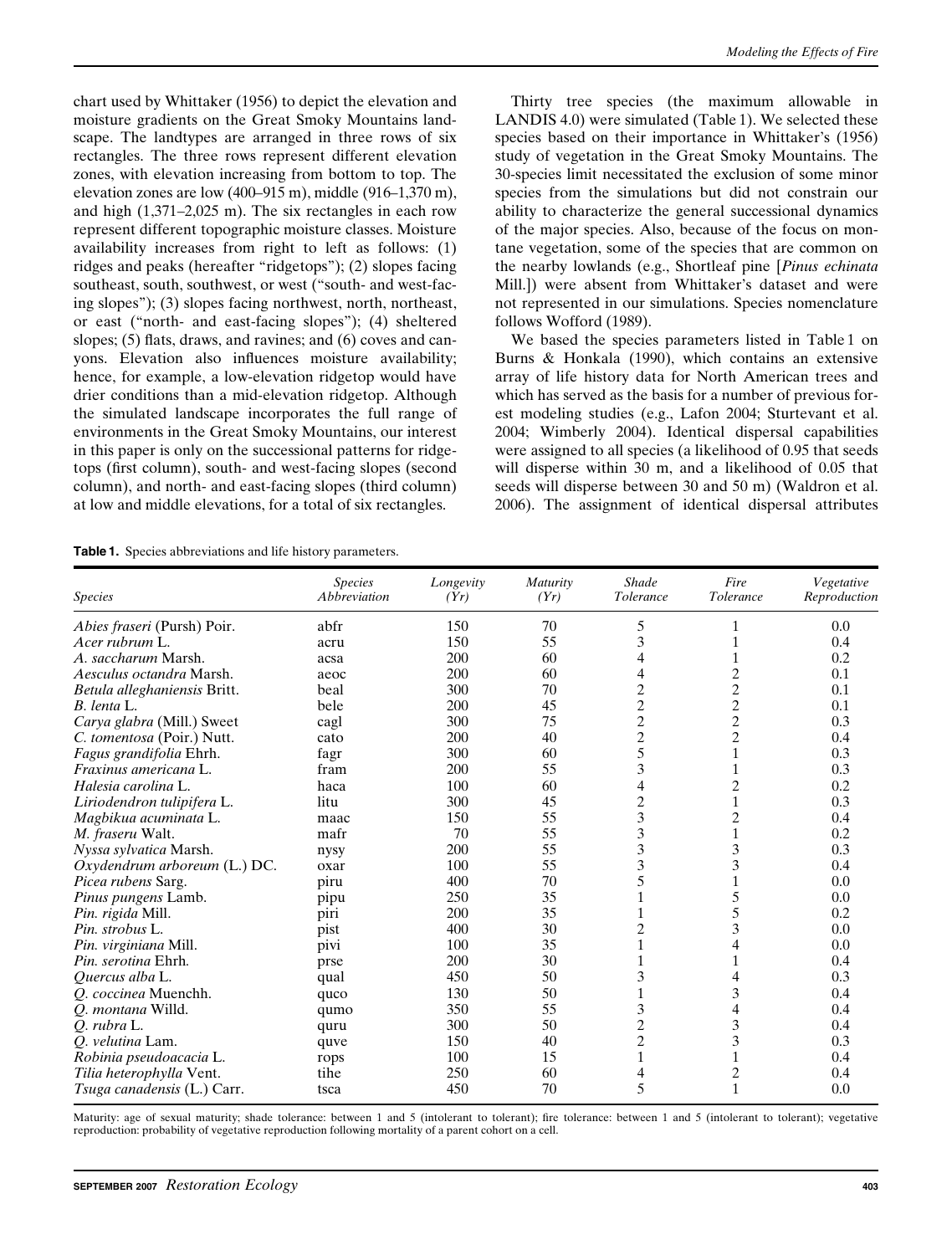chart used by Whittaker (1956) to depict the elevation and moisture gradients on the Great Smoky Mountains landscape. The landtypes are arranged in three rows of six rectangles. The three rows represent different elevation zones, with elevation increasing from bottom to top. The elevation zones are low (400–915 m), middle (916–1,370 m), and high (1,371–2,025 m). The six rectangles in each row represent different topographic moisture classes. Moisture availability increases from right to left as follows: (1) ridges and peaks (hereafter "ridgetops"); (2) slopes facing southeast, south, southwest, or west ("south- and west-facing slopes"); (3) slopes facing northwest, north, northeast, or east (''north- and east-facing slopes''); (4) sheltered slopes; (5) flats, draws, and ravines; and (6) coves and canyons. Elevation also influences moisture availability; hence, for example, a low-elevation ridgetop would have drier conditions than a mid-elevation ridgetop. Although the simulated landscape incorporates the full range of environments in the Great Smoky Mountains, our interest in this paper is only on the successional patterns for ridgetops (first column), south- and west-facing slopes (second column), and north- and east-facing slopes (third column) at low and middle elevations, for a total of six rectangles.

Thirty tree species (the maximum allowable in LANDIS 4.0) were simulated (Table 1). We selected these species based on their importance in Whittaker's (1956) study of vegetation in the Great Smoky Mountains. The 30-species limit necessitated the exclusion of some minor species from the simulations but did not constrain our ability to characterize the general successional dynamics of the major species. Also, because of the focus on montane vegetation, some of the species that are common on the nearby lowlands (e.g., Shortleaf pine [Pinus echinata Mill.]) were absent from Whittaker's dataset and were not represented in our simulations. Species nomenclature follows Wofford (1989).

We based the species parameters listed in Table 1 on Burns & Honkala (1990), which contains an extensive array of life history data for North American trees and which has served as the basis for a number of previous forest modeling studies (e.g., Lafon 2004; Sturtevant et al. 2004; Wimberly 2004). Identical dispersal capabilities were assigned to all species (a likelihood of 0.95 that seeds will disperse within 30 m, and a likelihood of 0.05 that seeds will disperse between 30 and 50 m) (Waldron et al. 2006). The assignment of identical dispersal attributes

Table 1. Species abbreviations and life history parameters.

| <b>Species</b>                     | <b>Species</b><br>Abbreviation | Longevity<br>(Yr) | Maturity<br>(Yr) | <b>Shade</b><br>Tolerance | Fire<br>Tolerance | Vegetative<br>Reproduction |
|------------------------------------|--------------------------------|-------------------|------------------|---------------------------|-------------------|----------------------------|
| Abies fraseri (Pursh) Poir.        | abfr                           | 150               | 70               | 5                         |                   | 0.0                        |
| Acer rubrum L.                     | acru                           | 150               | 55               | 3                         |                   | 0.4                        |
| A. saccharum Marsh.                | acsa                           | 200               | 60               | 4                         |                   | 0.2                        |
| Aesculus octandra Marsh.           | aeoc                           | 200               | 60               | 4                         | 2                 | 0.1                        |
| Betula alleghaniensis Britt.       | beal                           | 300               | 70               | $\overline{c}$            | $\overline{c}$    | 0.1                        |
| B. lenta L.                        | bele                           | 200               | 45               | $\overline{\mathbf{c}}$   | $\overline{c}$    | 0.1                        |
| Carya glabra (Mill.) Sweet         | cagl                           | 300               | 75               | $\overline{c}$            | $\overline{c}$    | 0.3                        |
| C. tomentosa (Poir.) Nutt.         | cato                           | 200               | 40               | $\overline{c}$            | $\overline{c}$    | 0.4                        |
| Fagus grandifolia Ehrh.            | fagr                           | 300               | 60               | 5                         |                   | 0.3                        |
| Fraxinus americana L.              | fram                           | 200               | 55               | 3                         |                   | 0.3                        |
| Halesia carolina L.                | haca                           | 100               | 60               | 4                         | $\overline{c}$    | 0.2                        |
| Liriodendron tulipifera L.         | litu                           | 300               | 45               | $\overline{c}$            | $\mathbf{1}$      | 0.3                        |
| Magbikua acuminata L.              | maac                           | 150               | 55               | 3                         | $\overline{c}$    | 0.4                        |
| M. fraseru Walt.                   | mafr                           | 70                | 55               | 3                         |                   | 0.2                        |
| Nyssa sylvatica Marsh.             | nysy                           | 200               | 55               | 3                         | 3                 | 0.3                        |
| Oxydendrum arboreum (L.) DC.       | oxar                           | 100               | 55               | 3                         | 3                 | 0.4                        |
| <i>Picea rubens</i> Sarg.          | piru                           | 400               | 70               | 5                         |                   | 0.0                        |
| Pinus pungens Lamb.                | pipu                           | 250               | 35               |                           | 5                 | 0.0                        |
| Pin. rigida Mill.                  | piri                           | 200               | 35               |                           | 5                 | 0.2                        |
| Pin. strobus L.                    | pist                           | 400               | 30               | 2                         | 3                 | 0.0                        |
| Pin. virginiana Mill.              | pivi                           | 100               | 35               |                           | 4                 | 0.0                        |
| Pin. serotina Ehrh.                | prse                           | 200               | 30               |                           |                   | 0.4                        |
| Quercus alba L.                    | qual                           | 450               | 50               | 3                         | 4                 | 0.3                        |
| Q. coccinea Muenchh.               | quco                           | 130               | 50               | 1                         | 3                 | 0.4                        |
| Q. montana Willd.                  | qumo                           | 350               | 55               | 3                         | 4                 | 0.4                        |
| Q. rubra L.                        | quru                           | 300               | 50               | $\overline{c}$            | 3                 | 0.4                        |
| Q. velutina Lam.                   | quve                           | 150               | 40               | $\overline{c}$            | 3                 | 0.3                        |
| Robinia pseudoacacia L.            | rops                           | 100               | 15               | 1                         | 1                 | 0.4                        |
| Tilia heterophylla Vent.           | tihe                           | 250               | 60               | 4                         | $\sqrt{2}$        | 0.4                        |
| <i>Tsuga canadensis</i> (L.) Carr. | tsca                           | 450               | 70               | 5                         | 1                 | 0.0                        |

Maturity: age of sexual maturity; shade tolerance: between 1 and 5 (intolerant to tolerant); fire tolerance: between 1 and 5 (intolerant to tolerant); vegetative reproduction: probability of vegetative reproduction following mortality of a parent cohort on a cell.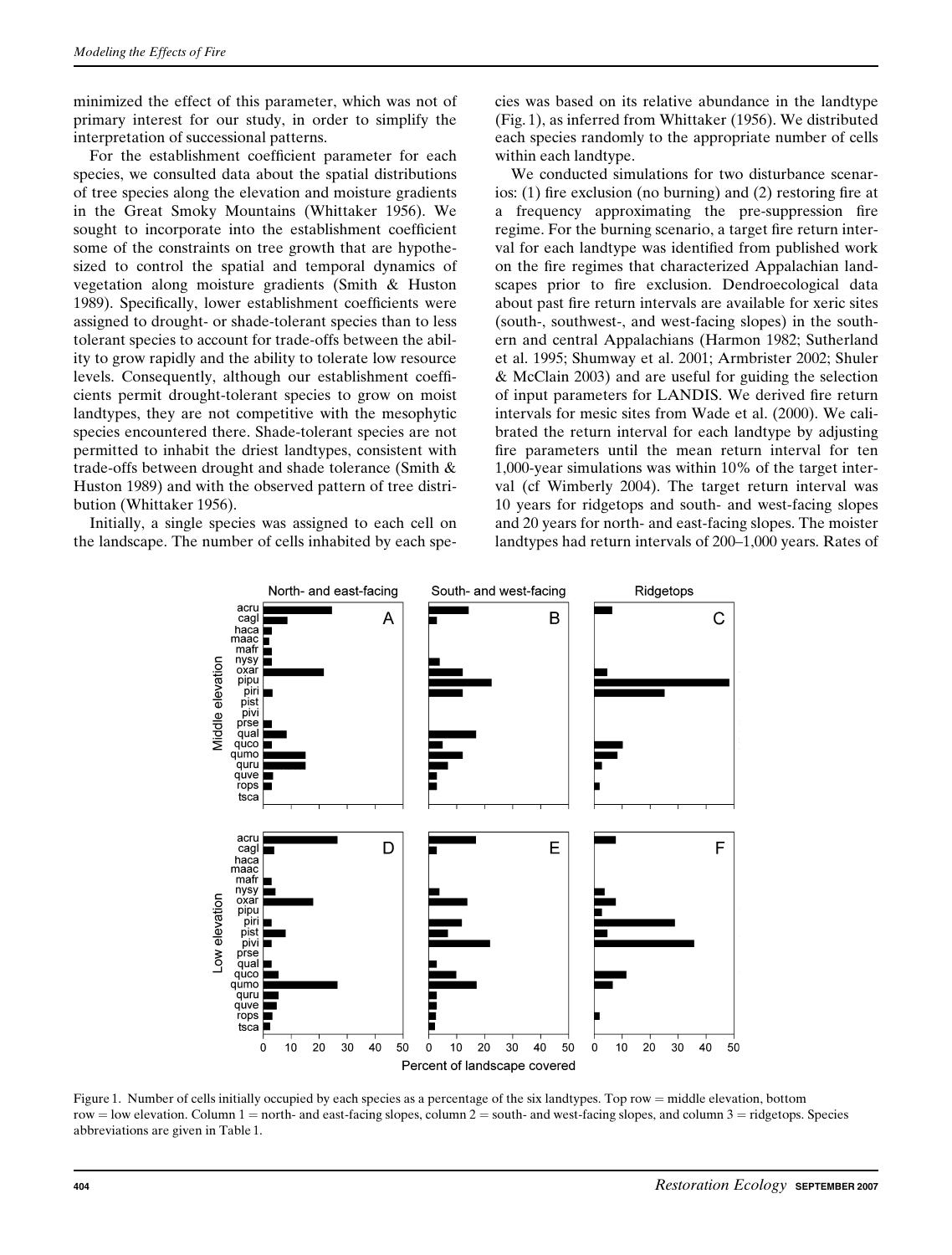minimized the effect of this parameter, which was not of primary interest for our study, in order to simplify the interpretation of successional patterns.

For the establishment coefficient parameter for each species, we consulted data about the spatial distributions of tree species along the elevation and moisture gradients in the Great Smoky Mountains (Whittaker 1956). We sought to incorporate into the establishment coefficient some of the constraints on tree growth that are hypothesized to control the spatial and temporal dynamics of vegetation along moisture gradients (Smith & Huston 1989). Specifically, lower establishment coefficients were assigned to drought- or shade-tolerant species than to less tolerant species to account for trade-offs between the ability to grow rapidly and the ability to tolerate low resource levels. Consequently, although our establishment coefficients permit drought-tolerant species to grow on moist landtypes, they are not competitive with the mesophytic species encountered there. Shade-tolerant species are not permitted to inhabit the driest landtypes, consistent with trade-offs between drought and shade tolerance (Smith & Huston 1989) and with the observed pattern of tree distribution (Whittaker 1956).

Initially, a single species was assigned to each cell on the landscape. The number of cells inhabited by each species was based on its relative abundance in the landtype (Fig. 1), as inferred from Whittaker (1956). We distributed each species randomly to the appropriate number of cells within each landtype.

We conducted simulations for two disturbance scenarios: (1) fire exclusion (no burning) and (2) restoring fire at a frequency approximating the pre-suppression fire regime. For the burning scenario, a target fire return interval for each landtype was identified from published work on the fire regimes that characterized Appalachian landscapes prior to fire exclusion. Dendroecological data about past fire return intervals are available for xeric sites (south-, southwest-, and west-facing slopes) in the southern and central Appalachians (Harmon 1982; Sutherland et al. 1995; Shumway et al. 2001; Armbrister 2002; Shuler & McClain 2003) and are useful for guiding the selection of input parameters for LANDIS. We derived fire return intervals for mesic sites from Wade et al. (2000). We calibrated the return interval for each landtype by adjusting fire parameters until the mean return interval for ten 1,000-year simulations was within 10% of the target interval (cf Wimberly 2004). The target return interval was 10 years for ridgetops and south- and west-facing slopes and 20 years for north- and east-facing slopes. The moister landtypes had return intervals of 200–1,000 years. Rates of



Figure 1. Number of cells initially occupied by each species as a percentage of the six landtypes. Top row = middle elevation, bottom row = low elevation. Column  $1$  = north- and east-facing slopes, column  $2$  = south- and west-facing slopes, and column  $3$  = ridgetops. Species abbreviations are given in Table 1.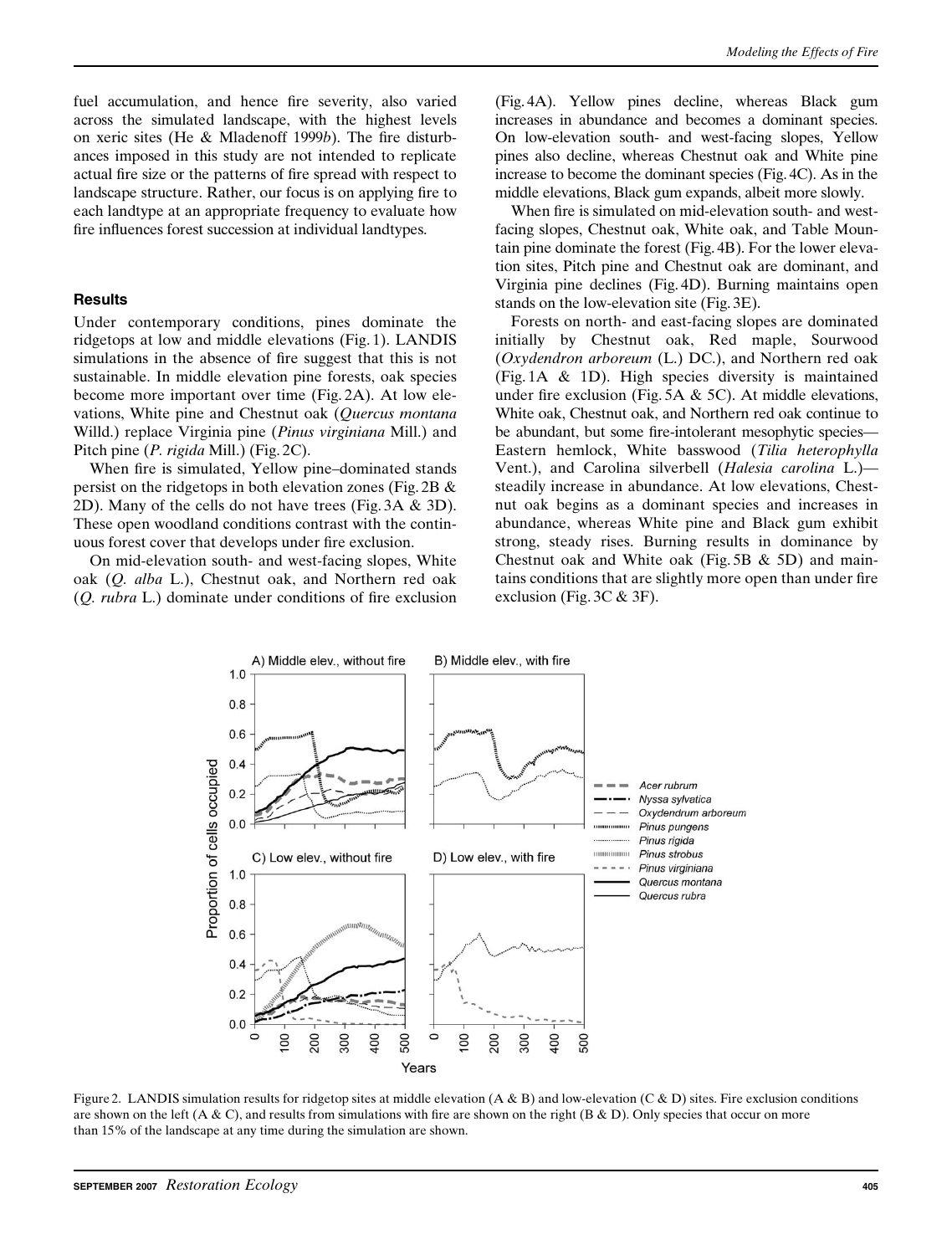fuel accumulation, and hence fire severity, also varied across the simulated landscape, with the highest levels on xeric sites (He & Mladenoff 1999b). The fire disturbances imposed in this study are not intended to replicate actual fire size or the patterns of fire spread with respect to landscape structure. Rather, our focus is on applying fire to each landtype at an appropriate frequency to evaluate how fire influences forest succession at individual landtypes.

#### **Results**

Under contemporary conditions, pines dominate the ridgetops at low and middle elevations (Fig. 1). LANDIS simulations in the absence of fire suggest that this is not sustainable. In middle elevation pine forests, oak species become more important over time (Fig. 2A). At low elevations, White pine and Chestnut oak (Quercus montana Willd.) replace Virginia pine (Pinus virginiana Mill.) and Pitch pine (P. rigida Mill.) (Fig. 2C).

When fire is simulated, Yellow pine–dominated stands persist on the ridgetops in both elevation zones (Fig. 2B & 2D). Many of the cells do not have trees (Fig. 3A & 3D). These open woodland conditions contrast with the continuous forest cover that develops under fire exclusion.

On mid-elevation south- and west-facing slopes, White oak (Q. alba L.), Chestnut oak, and Northern red oak (Q. rubra L.) dominate under conditions of fire exclusion (Fig. 4A). Yellow pines decline, whereas Black gum increases in abundance and becomes a dominant species. On low-elevation south- and west-facing slopes, Yellow pines also decline, whereas Chestnut oak and White pine increase to become the dominant species (Fig. 4C). As in the middle elevations, Black gum expands, albeit more slowly.

When fire is simulated on mid-elevation south- and westfacing slopes, Chestnut oak, White oak, and Table Mountain pine dominate the forest (Fig. 4B). For the lower elevation sites, Pitch pine and Chestnut oak are dominant, and Virginia pine declines (Fig. 4D). Burning maintains open stands on the low-elevation site (Fig. 3E).

Forests on north- and east-facing slopes are dominated initially by Chestnut oak, Red maple, Sourwood (Oxydendron arboreum (L.) DC.), and Northern red oak (Fig. 1A & 1D). High species diversity is maintained under fire exclusion (Fig. 5A  $&$  5C). At middle elevations, White oak, Chestnut oak, and Northern red oak continue to be abundant, but some fire-intolerant mesophytic species— Eastern hemlock, White basswood (Tilia heterophylla Vent.), and Carolina silverbell (Halesia carolina L.) steadily increase in abundance. At low elevations, Chestnut oak begins as a dominant species and increases in abundance, whereas White pine and Black gum exhibit strong, steady rises. Burning results in dominance by Chestnut oak and White oak (Fig.  $5B & 5D$ ) and maintains conditions that are slightly more open than under fire exclusion (Fig. 3C & 3F).



Figure 2. LANDIS simulation results for ridgetop sites at middle elevation (A & B) and low-elevation (C & D) sites. Fire exclusion conditions are shown on the left (A & C), and results from simulations with fire are shown on the right (B & D). Only species that occur on more than 15% of the landscape at any time during the simulation are shown.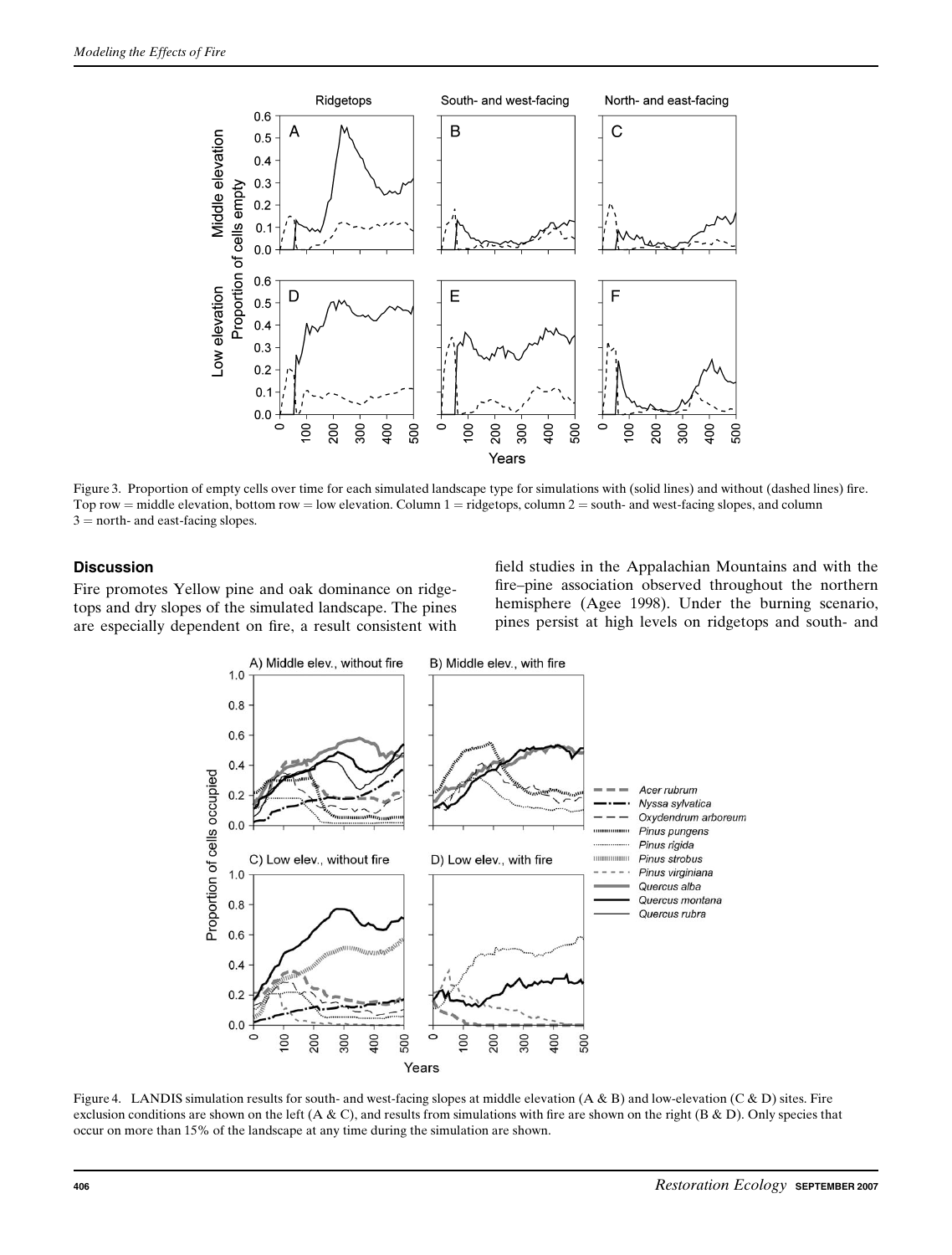

Figure 3. Proportion of empty cells over time for each simulated landscape type for simulations with (solid lines) and without (dashed lines) fire. Top row = middle elevation, bottom row = low elevation. Column  $1 =$  ridgetops, column  $2 =$  south- and west-facing slopes, and column  $3 =$  north- and east-facing slopes.

#### **Discussion**

Fire promotes Yellow pine and oak dominance on ridgetops and dry slopes of the simulated landscape. The pines are especially dependent on fire, a result consistent with field studies in the Appalachian Mountains and with the fire–pine association observed throughout the northern hemisphere (Agee 1998). Under the burning scenario, pines persist at high levels on ridgetops and south- and



Figure 4. LANDIS simulation results for south- and west-facing slopes at middle elevation ( $A \& B$ ) and low-elevation ( $C \& D$ ) sites. Fire exclusion conditions are shown on the left (A & C), and results from simulations with fire are shown on the right (B & D). Only species that occur on more than 15% of the landscape at any time during the simulation are shown.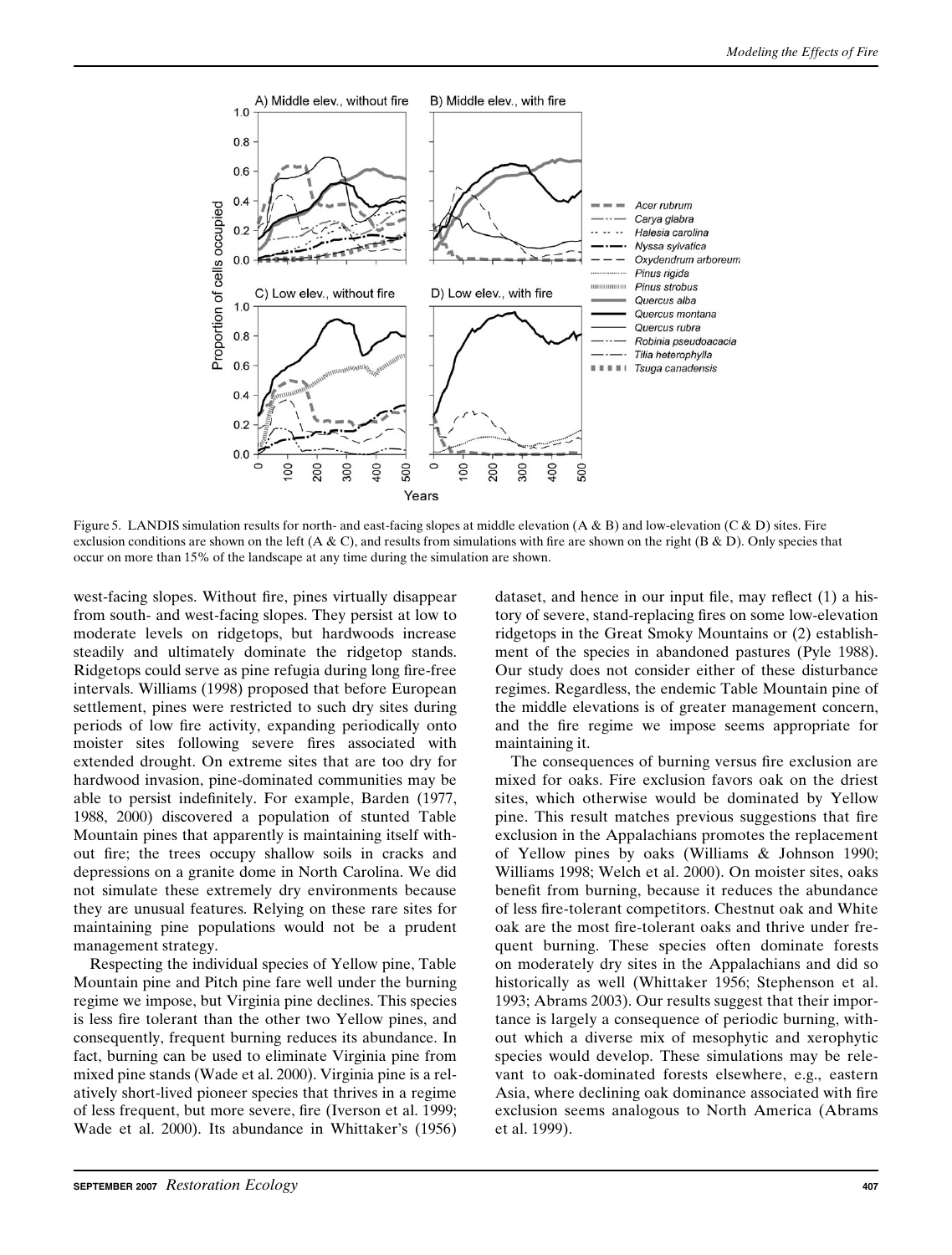

Figure 5. LANDIS simulation results for north- and east-facing slopes at middle elevation (A & B) and low-elevation (C & D) sites. Fire exclusion conditions are shown on the left (A & C), and results from simulations with fire are shown on the right (B & D). Only species that occur on more than 15% of the landscape at any time during the simulation are shown.

west-facing slopes. Without fire, pines virtually disappear from south- and west-facing slopes. They persist at low to moderate levels on ridgetops, but hardwoods increase steadily and ultimately dominate the ridgetop stands. Ridgetops could serve as pine refugia during long fire-free intervals. Williams (1998) proposed that before European settlement, pines were restricted to such dry sites during periods of low fire activity, expanding periodically onto moister sites following severe fires associated with extended drought. On extreme sites that are too dry for hardwood invasion, pine-dominated communities may be able to persist indefinitely. For example, Barden (1977, 1988, 2000) discovered a population of stunted Table Mountain pines that apparently is maintaining itself without fire; the trees occupy shallow soils in cracks and depressions on a granite dome in North Carolina. We did not simulate these extremely dry environments because they are unusual features. Relying on these rare sites for maintaining pine populations would not be a prudent management strategy.

Respecting the individual species of Yellow pine, Table Mountain pine and Pitch pine fare well under the burning regime we impose, but Virginia pine declines. This species is less fire tolerant than the other two Yellow pines, and consequently, frequent burning reduces its abundance. In fact, burning can be used to eliminate Virginia pine from mixed pine stands (Wade et al. 2000). Virginia pine is a relatively short-lived pioneer species that thrives in a regime of less frequent, but more severe, fire (Iverson et al. 1999; Wade et al. 2000). Its abundance in Whittaker's (1956)

dataset, and hence in our input file, may reflect (1) a history of severe, stand-replacing fires on some low-elevation ridgetops in the Great Smoky Mountains or (2) establishment of the species in abandoned pastures (Pyle 1988). Our study does not consider either of these disturbance regimes. Regardless, the endemic Table Mountain pine of the middle elevations is of greater management concern, and the fire regime we impose seems appropriate for maintaining it.

The consequences of burning versus fire exclusion are mixed for oaks. Fire exclusion favors oak on the driest sites, which otherwise would be dominated by Yellow pine. This result matches previous suggestions that fire exclusion in the Appalachians promotes the replacement of Yellow pines by oaks (Williams & Johnson 1990; Williams 1998; Welch et al. 2000). On moister sites, oaks benefit from burning, because it reduces the abundance of less fire-tolerant competitors. Chestnut oak and White oak are the most fire-tolerant oaks and thrive under frequent burning. These species often dominate forests on moderately dry sites in the Appalachians and did so historically as well (Whittaker 1956; Stephenson et al. 1993; Abrams 2003). Our results suggest that their importance is largely a consequence of periodic burning, without which a diverse mix of mesophytic and xerophytic species would develop. These simulations may be relevant to oak-dominated forests elsewhere, e.g., eastern Asia, where declining oak dominance associated with fire exclusion seems analogous to North America (Abrams et al. 1999).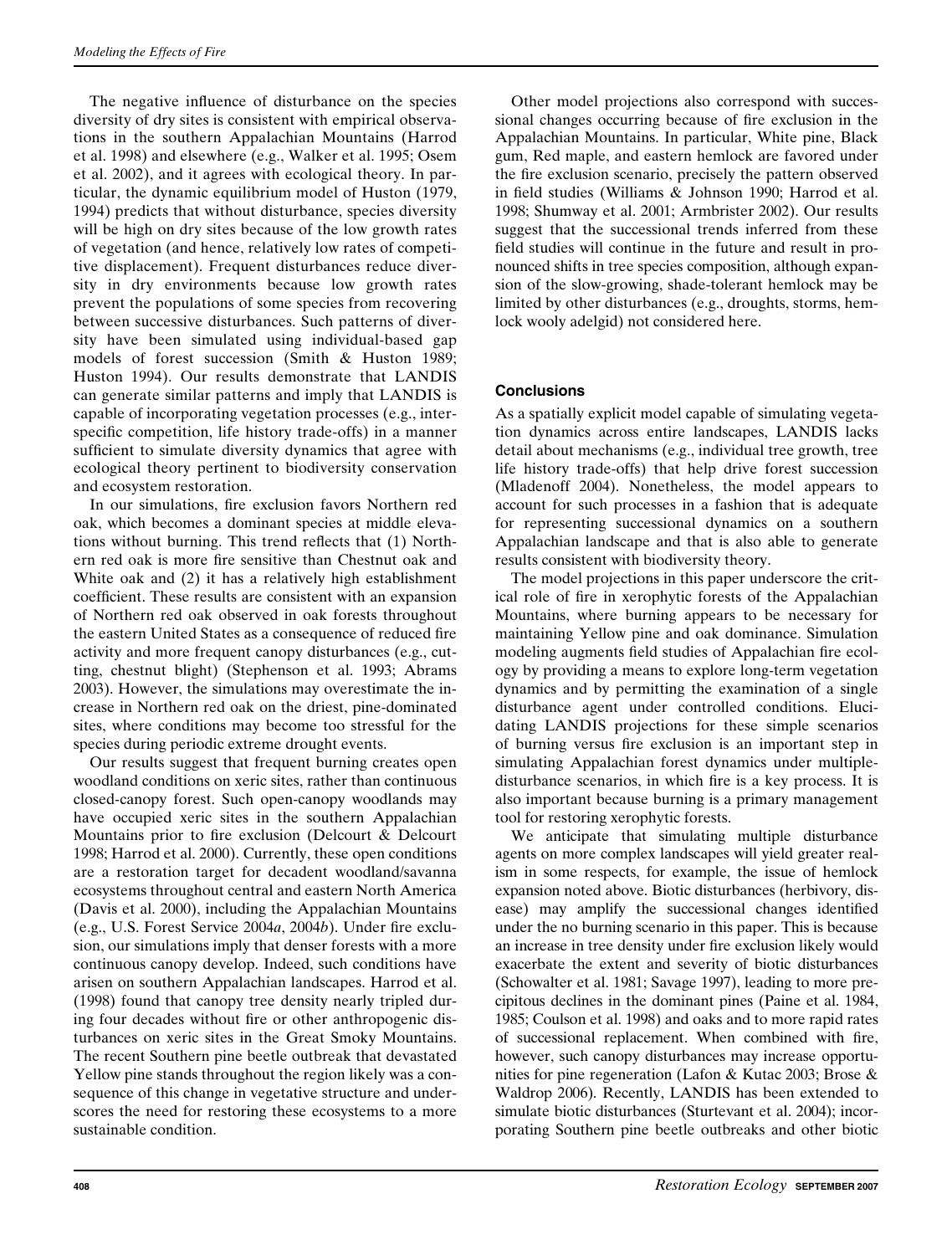The negative influence of disturbance on the species diversity of dry sites is consistent with empirical observations in the southern Appalachian Mountains (Harrod et al. 1998) and elsewhere (e.g., Walker et al. 1995; Osem et al. 2002), and it agrees with ecological theory. In particular, the dynamic equilibrium model of Huston (1979, 1994) predicts that without disturbance, species diversity will be high on dry sites because of the low growth rates of vegetation (and hence, relatively low rates of competitive displacement). Frequent disturbances reduce diversity in dry environments because low growth rates prevent the populations of some species from recovering between successive disturbances. Such patterns of diversity have been simulated using individual-based gap models of forest succession (Smith & Huston 1989; Huston 1994). Our results demonstrate that LANDIS can generate similar patterns and imply that LANDIS is capable of incorporating vegetation processes (e.g., interspecific competition, life history trade-offs) in a manner sufficient to simulate diversity dynamics that agree with ecological theory pertinent to biodiversity conservation and ecosystem restoration.

In our simulations, fire exclusion favors Northern red oak, which becomes a dominant species at middle elevations without burning. This trend reflects that (1) Northern red oak is more fire sensitive than Chestnut oak and White oak and (2) it has a relatively high establishment coefficient. These results are consistent with an expansion of Northern red oak observed in oak forests throughout the eastern United States as a consequence of reduced fire activity and more frequent canopy disturbances (e.g., cutting, chestnut blight) (Stephenson et al. 1993; Abrams 2003). However, the simulations may overestimate the increase in Northern red oak on the driest, pine-dominated sites, where conditions may become too stressful for the species during periodic extreme drought events.

Our results suggest that frequent burning creates open woodland conditions on xeric sites, rather than continuous closed-canopy forest. Such open-canopy woodlands may have occupied xeric sites in the southern Appalachian Mountains prior to fire exclusion (Delcourt & Delcourt 1998; Harrod et al. 2000). Currently, these open conditions are a restoration target for decadent woodland/savanna ecosystems throughout central and eastern North America (Davis et al. 2000), including the Appalachian Mountains (e.g., U.S. Forest Service 2004a, 2004b). Under fire exclusion, our simulations imply that denser forests with a more continuous canopy develop. Indeed, such conditions have arisen on southern Appalachian landscapes. Harrod et al. (1998) found that canopy tree density nearly tripled during four decades without fire or other anthropogenic disturbances on xeric sites in the Great Smoky Mountains. The recent Southern pine beetle outbreak that devastated Yellow pine stands throughout the region likely was a consequence of this change in vegetative structure and underscores the need for restoring these ecosystems to a more sustainable condition.

Other model projections also correspond with successional changes occurring because of fire exclusion in the Appalachian Mountains. In particular, White pine, Black gum, Red maple, and eastern hemlock are favored under the fire exclusion scenario, precisely the pattern observed in field studies (Williams & Johnson 1990; Harrod et al. 1998; Shumway et al. 2001; Armbrister 2002). Our results suggest that the successional trends inferred from these field studies will continue in the future and result in pronounced shifts in tree species composition, although expansion of the slow-growing, shade-tolerant hemlock may be limited by other disturbances (e.g., droughts, storms, hemlock wooly adelgid) not considered here.

# Conclusions

As a spatially explicit model capable of simulating vegetation dynamics across entire landscapes, LANDIS lacks detail about mechanisms (e.g., individual tree growth, tree life history trade-offs) that help drive forest succession (Mladenoff 2004). Nonetheless, the model appears to account for such processes in a fashion that is adequate for representing successional dynamics on a southern Appalachian landscape and that is also able to generate results consistent with biodiversity theory.

The model projections in this paper underscore the critical role of fire in xerophytic forests of the Appalachian Mountains, where burning appears to be necessary for maintaining Yellow pine and oak dominance. Simulation modeling augments field studies of Appalachian fire ecology by providing a means to explore long-term vegetation dynamics and by permitting the examination of a single disturbance agent under controlled conditions. Elucidating LANDIS projections for these simple scenarios of burning versus fire exclusion is an important step in simulating Appalachian forest dynamics under multipledisturbance scenarios, in which fire is a key process. It is also important because burning is a primary management tool for restoring xerophytic forests.

We anticipate that simulating multiple disturbance agents on more complex landscapes will yield greater realism in some respects, for example, the issue of hemlock expansion noted above. Biotic disturbances (herbivory, disease) may amplify the successional changes identified under the no burning scenario in this paper. This is because an increase in tree density under fire exclusion likely would exacerbate the extent and severity of biotic disturbances (Schowalter et al. 1981; Savage 1997), leading to more precipitous declines in the dominant pines (Paine et al. 1984, 1985; Coulson et al. 1998) and oaks and to more rapid rates of successional replacement. When combined with fire, however, such canopy disturbances may increase opportunities for pine regeneration (Lafon & Kutac 2003; Brose & Waldrop 2006). Recently, LANDIS has been extended to simulate biotic disturbances (Sturtevant et al. 2004); incorporating Southern pine beetle outbreaks and other biotic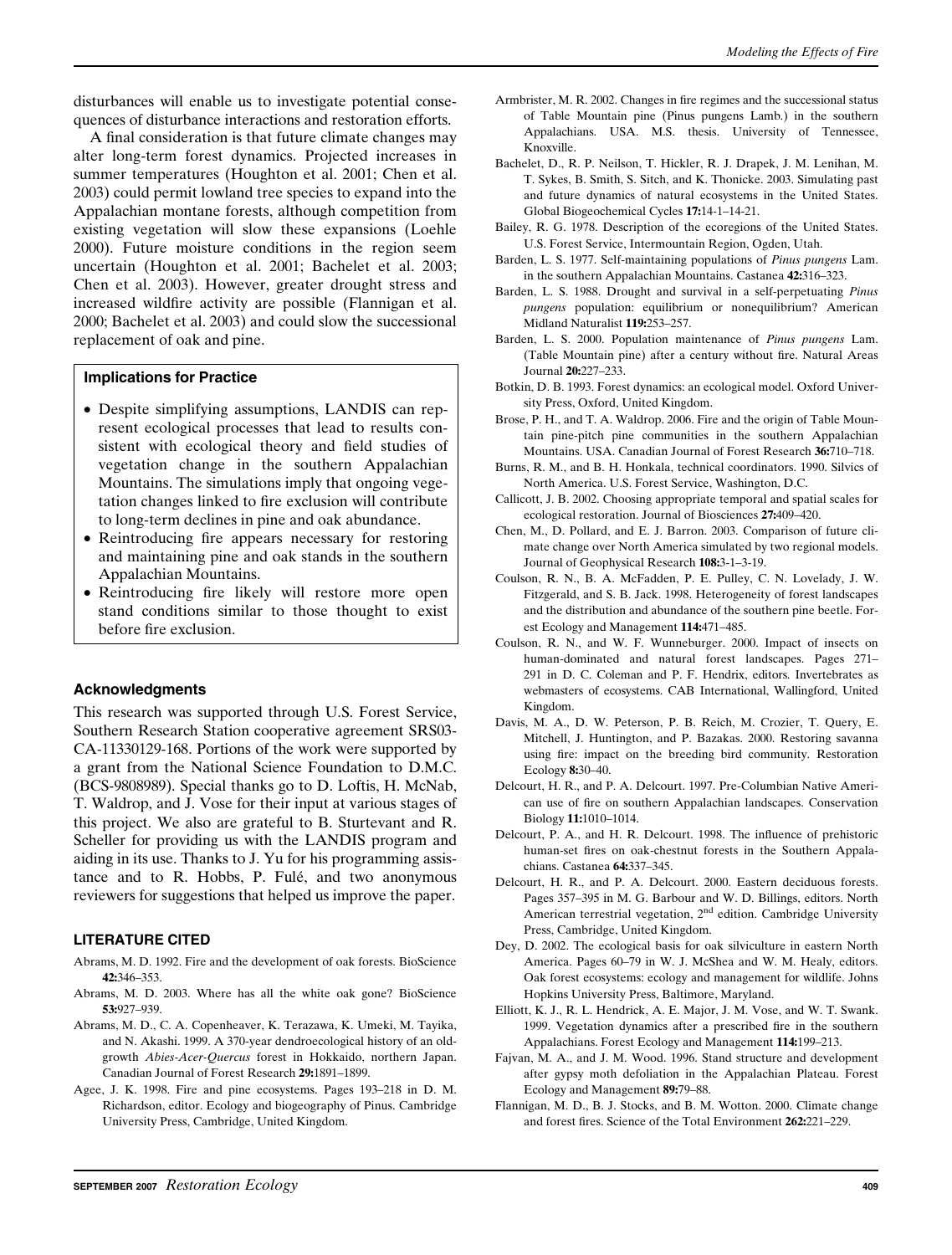disturbances will enable us to investigate potential consequences of disturbance interactions and restoration efforts.

A final consideration is that future climate changes may alter long-term forest dynamics. Projected increases in summer temperatures (Houghton et al. 2001; Chen et al. 2003) could permit lowland tree species to expand into the Appalachian montane forests, although competition from existing vegetation will slow these expansions (Loehle 2000). Future moisture conditions in the region seem uncertain (Houghton et al. 2001; Bachelet et al. 2003; Chen et al. 2003). However, greater drought stress and increased wildfire activity are possible (Flannigan et al. 2000; Bachelet et al. 2003) and could slow the successional replacement of oak and pine.

### Implications for Practice

- Despite simplifying assumptions, LANDIS can represent ecological processes that lead to results consistent with ecological theory and field studies of vegetation change in the southern Appalachian Mountains. The simulations imply that ongoing vegetation changes linked to fire exclusion will contribute to long-term declines in pine and oak abundance.
- Reintroducing fire appears necessary for restoring and maintaining pine and oak stands in the southern Appalachian Mountains.
- Reintroducing fire likely will restore more open stand conditions similar to those thought to exist before fire exclusion.

#### Acknowledgments

This research was supported through U.S. Forest Service, Southern Research Station cooperative agreement SRS03- CA-11330129-168. Portions of the work were supported by a grant from the National Science Foundation to D.M.C. (BCS-9808989). Special thanks go to D. Loftis, H. McNab, T. Waldrop, and J. Vose for their input at various stages of this project. We also are grateful to B. Sturtevant and R. Scheller for providing us with the LANDIS program and aiding in its use. Thanks to J. Yu for his programming assistance and to R. Hobbs, P. Fulé, and two anonymous reviewers for suggestions that helped us improve the paper.

#### LITERATURE CITED

- Abrams, M. D. 1992. Fire and the development of oak forests. BioScience 42:346–353.
- Abrams, M. D. 2003. Where has all the white oak gone? BioScience 53:927–939.
- Abrams, M. D., C. A. Copenheaver, K. Terazawa, K. Umeki, M. Tayika, and N. Akashi. 1999. A 370-year dendroecological history of an oldgrowth Abies-Acer-Quercus forest in Hokkaido, northern Japan. Canadian Journal of Forest Research 29:1891–1899.
- Agee, J. K. 1998. Fire and pine ecosystems. Pages 193–218 in D. M. Richardson, editor. Ecology and biogeography of Pinus. Cambridge University Press, Cambridge, United Kingdom.
- Armbrister, M. R. 2002. Changes in fire regimes and the successional status of Table Mountain pine (Pinus pungens Lamb.) in the southern Appalachians. USA. M.S. thesis. University of Tennessee, Knoxville.
- Bachelet, D., R. P. Neilson, T. Hickler, R. J. Drapek, J. M. Lenihan, M. T. Sykes, B. Smith, S. Sitch, and K. Thonicke. 2003. Simulating past and future dynamics of natural ecosystems in the United States. Global Biogeochemical Cycles 17:14-1–14-21.
- Bailey, R. G. 1978. Description of the ecoregions of the United States. U.S. Forest Service, Intermountain Region, Ogden, Utah.
- Barden, L. S. 1977. Self-maintaining populations of Pinus pungens Lam. in the southern Appalachian Mountains. Castanea 42:316–323.
- Barden, L. S. 1988. Drought and survival in a self-perpetuating Pinus pungens population: equilibrium or nonequilibrium? American Midland Naturalist 119:253–257.
- Barden, L. S. 2000. Population maintenance of Pinus pungens Lam. (Table Mountain pine) after a century without fire. Natural Areas Journal 20:227–233.
- Botkin, D. B. 1993. Forest dynamics: an ecological model. Oxford University Press, Oxford, United Kingdom.
- Brose, P. H., and T. A. Waldrop. 2006. Fire and the origin of Table Mountain pine-pitch pine communities in the southern Appalachian Mountains. USA. Canadian Journal of Forest Research 36:710–718.
- Burns, R. M., and B. H. Honkala, technical coordinators. 1990. Silvics of North America. U.S. Forest Service, Washington, D.C.
- Callicott, J. B. 2002. Choosing appropriate temporal and spatial scales for ecological restoration. Journal of Biosciences 27:409–420.
- Chen, M., D. Pollard, and E. J. Barron. 2003. Comparison of future climate change over North America simulated by two regional models. Journal of Geophysical Research 108:3-1–3-19.
- Coulson, R. N., B. A. McFadden, P. E. Pulley, C. N. Lovelady, J. W. Fitzgerald, and S. B. Jack. 1998. Heterogeneity of forest landscapes and the distribution and abundance of the southern pine beetle. Forest Ecology and Management 114:471–485.
- Coulson, R. N., and W. F. Wunneburger. 2000. Impact of insects on human-dominated and natural forest landscapes. Pages 271– 291 in D. C. Coleman and P. F. Hendrix, editors. Invertebrates as webmasters of ecosystems. CAB International, Wallingford, United Kingdom.
- Davis, M. A., D. W. Peterson, P. B. Reich, M. Crozier, T. Query, E. Mitchell, J. Huntington, and P. Bazakas. 2000. Restoring savanna using fire: impact on the breeding bird community. Restoration Ecology 8:30–40.
- Delcourt, H. R., and P. A. Delcourt. 1997. Pre-Columbian Native American use of fire on southern Appalachian landscapes. Conservation Biology 11:1010–1014.
- Delcourt, P. A., and H. R. Delcourt. 1998. The influence of prehistoric human-set fires on oak-chestnut forests in the Southern Appalachians. Castanea 64:337–345.
- Delcourt, H. R., and P. A. Delcourt. 2000. Eastern deciduous forests. Pages 357–395 in M. G. Barbour and W. D. Billings, editors. North American terrestrial vegetation, 2<sup>nd</sup> edition. Cambridge University Press, Cambridge, United Kingdom.
- Dey, D. 2002. The ecological basis for oak silviculture in eastern North America. Pages 60–79 in W. J. McShea and W. M. Healy, editors. Oak forest ecosystems: ecology and management for wildlife. Johns Hopkins University Press, Baltimore, Maryland.
- Elliott, K. J., R. L. Hendrick, A. E. Major, J. M. Vose, and W. T. Swank. 1999. Vegetation dynamics after a prescribed fire in the southern Appalachians. Forest Ecology and Management 114:199–213.
- Fajvan, M. A., and J. M. Wood. 1996. Stand structure and development after gypsy moth defoliation in the Appalachian Plateau. Forest Ecology and Management 89:79–88.
- Flannigan, M. D., B. J. Stocks, and B. M. Wotton. 2000. Climate change and forest fires. Science of the Total Environment 262:221–229.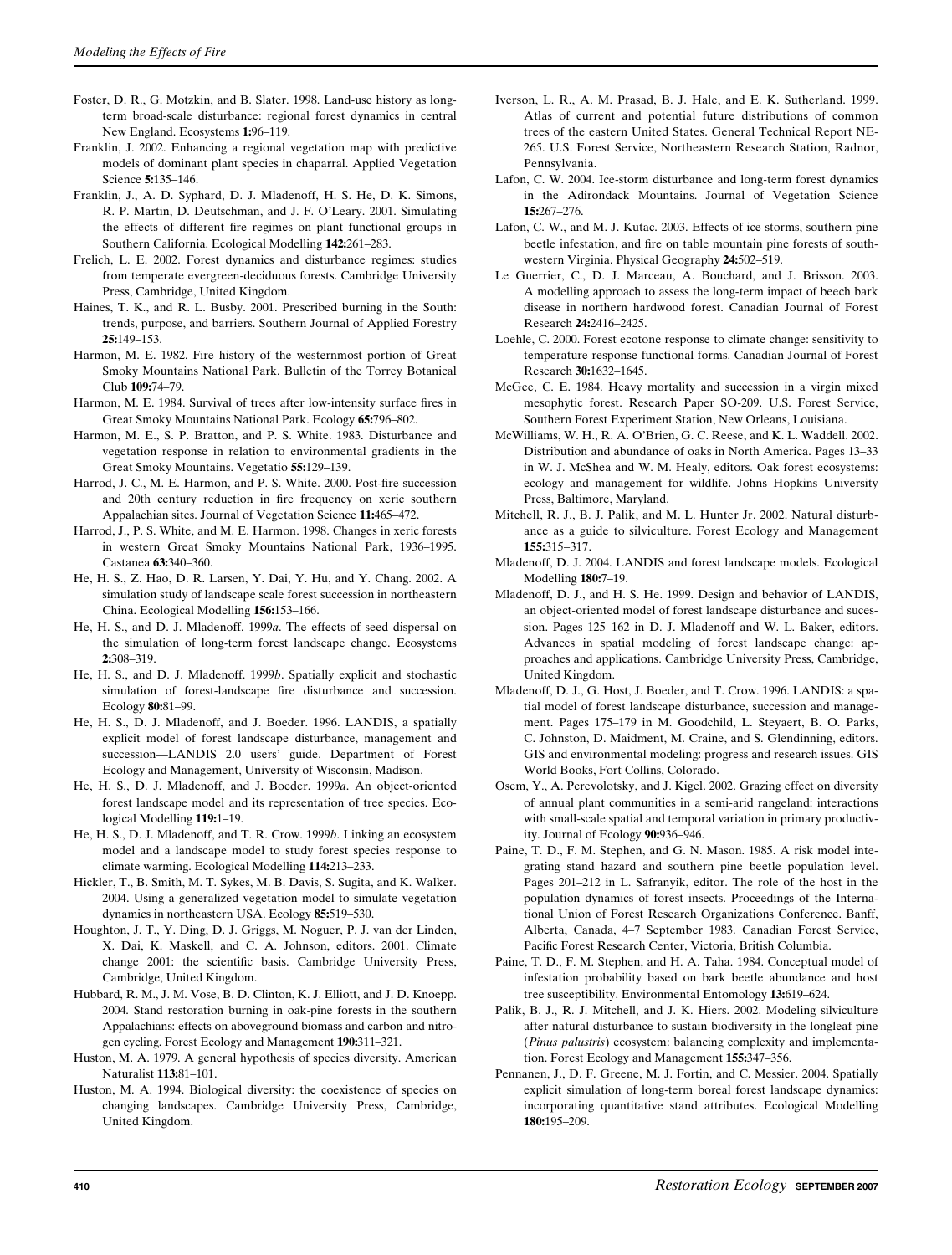- Foster, D. R., G. Motzkin, and B. Slater. 1998. Land-use history as longterm broad-scale disturbance: regional forest dynamics in central New England. Ecosystems 1:96–119.
- Franklin, J. 2002. Enhancing a regional vegetation map with predictive models of dominant plant species in chaparral. Applied Vegetation Science 5:135–146.
- Franklin, J., A. D. Syphard, D. J. Mladenoff, H. S. He, D. K. Simons, R. P. Martin, D. Deutschman, and J. F. O'Leary. 2001. Simulating the effects of different fire regimes on plant functional groups in Southern California. Ecological Modelling 142:261–283.
- Frelich, L. E. 2002. Forest dynamics and disturbance regimes: studies from temperate evergreen-deciduous forests. Cambridge University Press, Cambridge, United Kingdom.
- Haines, T. K., and R. L. Busby. 2001. Prescribed burning in the South: trends, purpose, and barriers. Southern Journal of Applied Forestry 25:149–153.
- Harmon, M. E. 1982. Fire history of the westernmost portion of Great Smoky Mountains National Park. Bulletin of the Torrey Botanical Club 109:74–79.
- Harmon, M. E. 1984. Survival of trees after low-intensity surface fires in Great Smoky Mountains National Park. Ecology 65:796–802.
- Harmon, M. E., S. P. Bratton, and P. S. White. 1983. Disturbance and vegetation response in relation to environmental gradients in the Great Smoky Mountains. Vegetatio 55:129–139.
- Harrod, J. C., M. E. Harmon, and P. S. White. 2000. Post-fire succession and 20th century reduction in fire frequency on xeric southern Appalachian sites. Journal of Vegetation Science 11:465–472.
- Harrod, J., P. S. White, and M. E. Harmon. 1998. Changes in xeric forests in western Great Smoky Mountains National Park, 1936–1995. Castanea 63:340–360.
- He, H. S., Z. Hao, D. R. Larsen, Y. Dai, Y. Hu, and Y. Chang. 2002. A simulation study of landscape scale forest succession in northeastern China. Ecological Modelling 156:153–166.
- He, H. S., and D. J. Mladenoff. 1999a. The effects of seed dispersal on the simulation of long-term forest landscape change. Ecosystems 2:308–319.
- He, H. S., and D. J. Mladenoff. 1999b. Spatially explicit and stochastic simulation of forest-landscape fire disturbance and succession. Ecology 80:81–99.
- He, H. S., D. J. Mladenoff, and J. Boeder. 1996. LANDIS, a spatially explicit model of forest landscape disturbance, management and succession—LANDIS 2.0 users' guide. Department of Forest Ecology and Management, University of Wisconsin, Madison.
- He, H. S., D. J. Mladenoff, and J. Boeder. 1999a. An object-oriented forest landscape model and its representation of tree species. Ecological Modelling 119:1–19.
- He, H. S., D. J. Mladenoff, and T. R. Crow. 1999b. Linking an ecosystem model and a landscape model to study forest species response to climate warming. Ecological Modelling 114:213–233.
- Hickler, T., B. Smith, M. T. Sykes, M. B. Davis, S. Sugita, and K. Walker. 2004. Using a generalized vegetation model to simulate vegetation dynamics in northeastern USA. Ecology 85:519–530.
- Houghton, J. T., Y. Ding, D. J. Griggs, M. Noguer, P. J. van der Linden, X. Dai, K. Maskell, and C. A. Johnson, editors. 2001. Climate change 2001: the scientific basis. Cambridge University Press, Cambridge, United Kingdom.
- Hubbard, R. M., J. M. Vose, B. D. Clinton, K. J. Elliott, and J. D. Knoepp. 2004. Stand restoration burning in oak-pine forests in the southern Appalachians: effects on aboveground biomass and carbon and nitrogen cycling. Forest Ecology and Management 190:311–321.
- Huston, M. A. 1979. A general hypothesis of species diversity. American Naturalist 113:81–101.
- Huston, M. A. 1994. Biological diversity: the coexistence of species on changing landscapes. Cambridge University Press, Cambridge, United Kingdom.
- Iverson, L. R., A. M. Prasad, B. J. Hale, and E. K. Sutherland. 1999. Atlas of current and potential future distributions of common trees of the eastern United States. General Technical Report NE-265. U.S. Forest Service, Northeastern Research Station, Radnor, Pennsylvania.
- Lafon, C. W. 2004. Ice-storm disturbance and long-term forest dynamics in the Adirondack Mountains. Journal of Vegetation Science 15:267–276.
- Lafon, C. W., and M. J. Kutac. 2003. Effects of ice storms, southern pine beetle infestation, and fire on table mountain pine forests of southwestern Virginia. Physical Geography 24:502–519.
- Le Guerrier, C., D. J. Marceau, A. Bouchard, and J. Brisson. 2003. A modelling approach to assess the long-term impact of beech bark disease in northern hardwood forest. Canadian Journal of Forest Research 24:2416–2425.
- Loehle, C. 2000. Forest ecotone response to climate change: sensitivity to temperature response functional forms. Canadian Journal of Forest Research 30:1632–1645.
- McGee, C. E. 1984. Heavy mortality and succession in a virgin mixed mesophytic forest. Research Paper SO-209. U.S. Forest Service, Southern Forest Experiment Station, New Orleans, Louisiana.
- McWilliams, W. H., R. A. O'Brien, G. C. Reese, and K. L. Waddell. 2002. Distribution and abundance of oaks in North America. Pages 13–33 in W. J. McShea and W. M. Healy, editors. Oak forest ecosystems: ecology and management for wildlife. Johns Hopkins University Press, Baltimore, Maryland.
- Mitchell, R. J., B. J. Palik, and M. L. Hunter Jr. 2002. Natural disturbance as a guide to silviculture. Forest Ecology and Management 155:315–317.
- Mladenoff, D. J. 2004. LANDIS and forest landscape models. Ecological Modelling 180:7–19.
- Mladenoff, D. J., and H. S. He. 1999. Design and behavior of LANDIS, an object-oriented model of forest landscape disturbance and sucession. Pages 125–162 in D. J. Mladenoff and W. L. Baker, editors. Advances in spatial modeling of forest landscape change: approaches and applications. Cambridge University Press, Cambridge, United Kingdom.
- Mladenoff, D. J., G. Host, J. Boeder, and T. Crow. 1996. LANDIS: a spatial model of forest landscape disturbance, succession and management. Pages 175–179 in M. Goodchild, L. Steyaert, B. O. Parks, C. Johnston, D. Maidment, M. Craine, and S. Glendinning, editors. GIS and environmental modeling: progress and research issues. GIS World Books, Fort Collins, Colorado.
- Osem, Y., A. Perevolotsky, and J. Kigel. 2002. Grazing effect on diversity of annual plant communities in a semi-arid rangeland: interactions with small-scale spatial and temporal variation in primary productivity. Journal of Ecology 90:936–946.
- Paine, T. D., F. M. Stephen, and G. N. Mason. 1985. A risk model integrating stand hazard and southern pine beetle population level. Pages 201–212 in L. Safranyik, editor. The role of the host in the population dynamics of forest insects. Proceedings of the International Union of Forest Research Organizations Conference. Banff, Alberta, Canada, 4–7 September 1983. Canadian Forest Service, Pacific Forest Research Center, Victoria, British Columbia.
- Paine, T. D., F. M. Stephen, and H. A. Taha. 1984. Conceptual model of infestation probability based on bark beetle abundance and host tree susceptibility. Environmental Entomology 13:619–624.
- Palik, B. J., R. J. Mitchell, and J. K. Hiers. 2002. Modeling silviculture after natural disturbance to sustain biodiversity in the longleaf pine (Pinus palustris) ecosystem: balancing complexity and implementation. Forest Ecology and Management 155:347–356.
- Pennanen, J., D. F. Greene, M. J. Fortin, and C. Messier. 2004. Spatially explicit simulation of long-term boreal forest landscape dynamics: incorporating quantitative stand attributes. Ecological Modelling 180:195–209.